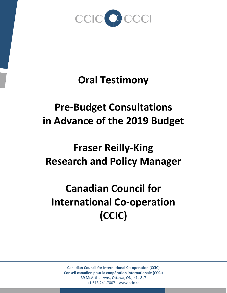

## **Oral Testimony**

## **Pre-Budget Consultations in Advance of the 2019 Budget**

## **Fraser Reilly-King Research and Policy Manager**

## **Canadian Council for International Co-operation (CCIC)**

**Canadian Council for International Co-operation (CCIC) Conseil canadien pour la coopération internationale (CCCI)** 39 McArthur Ave., Ottawa, ON, K1L 8L7 +1.613.241.7007 | www.ccic.ca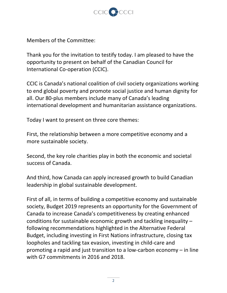

Members of the Committee:

Thank you for the invitation to testify today. I am pleased to have the opportunity to present on behalf of the Canadian Council for International Co-operation (CCIC).

CCIC is Canada's national coalition of civil society organizations working to end global poverty and promote social justice and human dignity for all. Our 80-plus members include many of Canada's leading international development and humanitarian assistance organizations.

Today I want to present on three core themes:

First, the relationship between a more competitive economy and a more sustainable society.

Second, the key role charities play in both the economic and societal success of Canada.

And third, how Canada can apply increased growth to build Canadian leadership in global sustainable development.

First of all, in terms of building a competitive economy and sustainable society, Budget 2019 represents an opportunity for the Government of Canada to increase Canada's competitiveness by creating enhanced conditions for sustainable economic growth and tackling inequality – following recommendations highlighted in the Alternative Federal Budget, including investing in First Nations infrastructure, closing tax loopholes and tackling tax evasion, investing in child-care and promoting a rapid and just transition to a low-carbon economy – in line with G7 commitments in 2016 and 2018.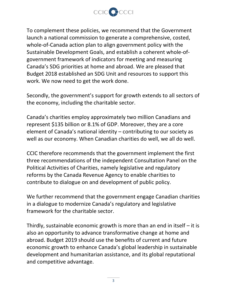

To complement these policies, we recommend that the Government launch a national commission to generate a comprehensive, costed, whole-of-Canada action plan to align government policy with the Sustainable Development Goals, and establish a coherent whole-ofgovernment framework of indicators for meeting and measuring Canada's SDG priorities at home and abroad. We are pleased that Budget 2018 established an SDG Unit and resources to support this work. We now need to get the work done.

Secondly, the government's support for growth extends to all sectors of the economy, including the charitable sector.

Canada's charities employ approximately two million Canadians and represent \$135 billion or 8.1% of GDP. Moreover, they are a core element of Canada's national identity – contributing to our society as well as our economy. When Canadian charities do well, we all do well.

CCIC therefore recommends that the government implement the first three recommendations of the independent [Consultation Panel on the](https://www.canada.ca/en/revenue-agency/services/charities-giving/charities/resources-charities-donors/resources-charities-about-political-activities/report-consultation-panel-on-political-activities-charities.html)  [Political Activities of Charities,](https://www.canada.ca/en/revenue-agency/services/charities-giving/charities/resources-charities-donors/resources-charities-about-political-activities/report-consultation-panel-on-political-activities-charities.html) namely legislative and regulatory reforms by the Canada Revenue Agency to enable charities to contribute to dialogue on and development of public policy.

We further recommend that the government engage Canadian charities in a dialogue to modernize Canada's regulatory and legislative framework for the charitable sector.

Thirdly, sustainable economic growth is more than an end in itself  $-$  it is also an opportunity to advance transformative change at home and abroad. Budget 2019 should use the benefits of current and future economic growth to enhance Canada's global leadership in sustainable development and humanitarian assistance, and its global reputational and competitive advantage.